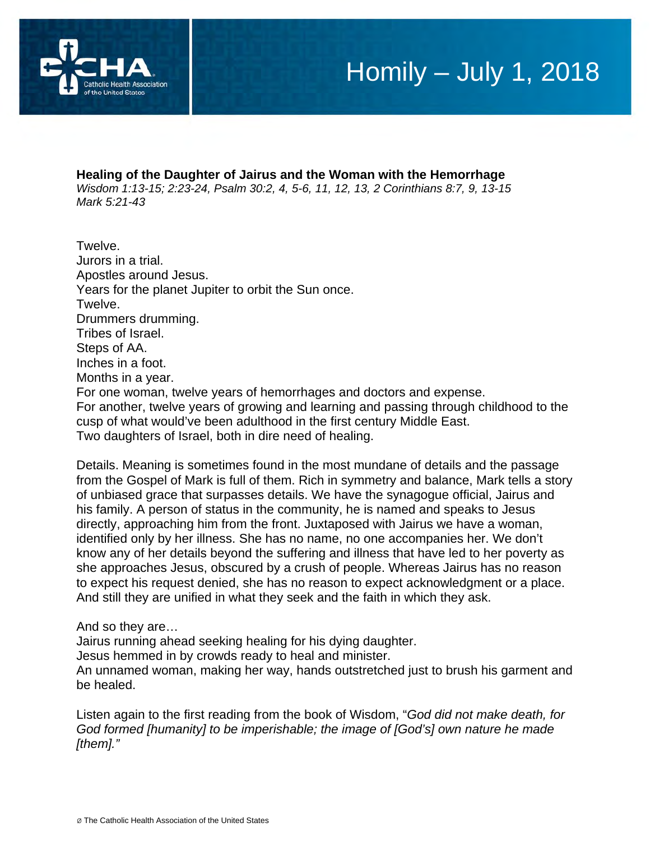

#### **Healing of the Daughter of Jairus and the Woman with the Hemorrhage**

*Wisdom 1:13-15; 2:23-24, Psalm 30:2, 4, 5-6, 11, 12, 13, 2 Corinthians 8:7, 9, 13-15 Mark 5:21-43* 

Twelve. Jurors in a trial. Apostles around Jesus. Years for the planet Jupiter to orbit the Sun once. Twelve. Drummers drumming. Tribes of Israel. Steps of AA. Inches in a foot. Months in a year. For one woman, twelve years of hemorrhages and doctors and expense. For another, twelve years of growing and learning and passing through childhood to the cusp of what would've been adulthood in the first century Middle East. Two daughters of Israel, both in dire need of healing.

Details. Meaning is sometimes found in the most mundane of details and the passage from the Gospel of Mark is full of them. Rich in symmetry and balance, Mark tells a story of unbiased grace that surpasses details. We have the synagogue official, Jairus and his family. A person of status in the community, he is named and speaks to Jesus directly, approaching him from the front. Juxtaposed with Jairus we have a woman, identified only by her illness. She has no name, no one accompanies her. We don't know any of her details beyond the suffering and illness that have led to her poverty as she approaches Jesus, obscured by a crush of people. Whereas Jairus has no reason to expect his request denied, she has no reason to expect acknowledgment or a place. And still they are unified in what they seek and the faith in which they ask.

### And so they are…

Jairus running ahead seeking healing for his dying daughter.

Jesus hemmed in by crowds ready to heal and minister.

An unnamed woman, making her way, hands outstretched just to brush his garment and be healed.

Listen again to the first reading from the book of Wisdom, "*God did not make death, for God formed [humanity] to be imperishable; the image of [God's] own nature he made [them]."*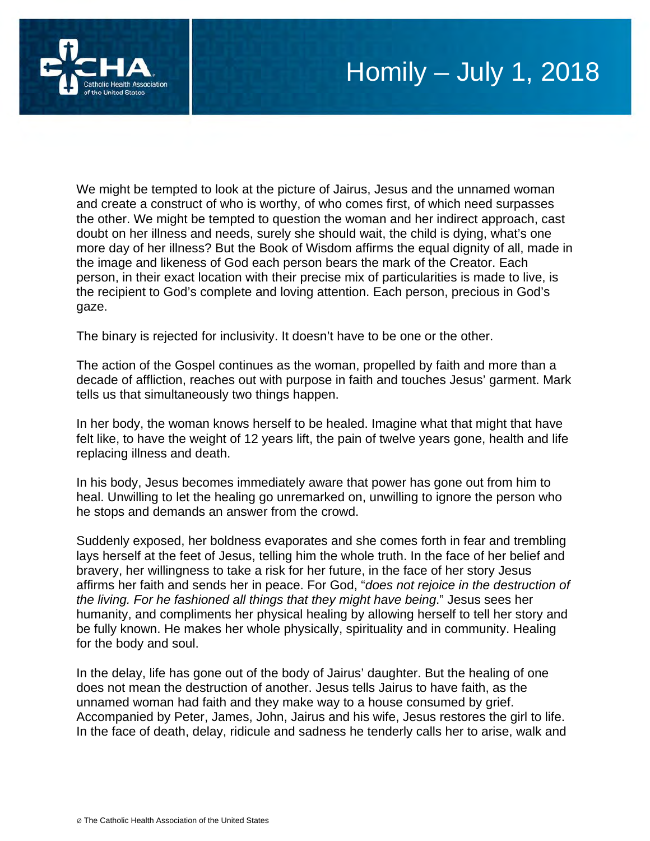

We might be tempted to look at the picture of Jairus, Jesus and the unnamed woman and create a construct of who is worthy, of who comes first, of which need surpasses the other. We might be tempted to question the woman and her indirect approach, cast doubt on her illness and needs, surely she should wait, the child is dying, what's one more day of her illness? But the Book of Wisdom affirms the equal dignity of all, made in the image and likeness of God each person bears the mark of the Creator. Each person, in their exact location with their precise mix of particularities is made to live, is the recipient to God's complete and loving attention. Each person, precious in God's gaze.

The binary is rejected for inclusivity. It doesn't have to be one or the other.

The action of the Gospel continues as the woman, propelled by faith and more than a decade of affliction, reaches out with purpose in faith and touches Jesus' garment. Mark tells us that simultaneously two things happen.

In her body, the woman knows herself to be healed. Imagine what that might that have felt like, to have the weight of 12 years lift, the pain of twelve years gone, health and life replacing illness and death.

In his body, Jesus becomes immediately aware that power has gone out from him to heal. Unwilling to let the healing go unremarked on, unwilling to ignore the person who he stops and demands an answer from the crowd.

Suddenly exposed, her boldness evaporates and she comes forth in fear and trembling lays herself at the feet of Jesus, telling him the whole truth. In the face of her belief and bravery, her willingness to take a risk for her future, in the face of her story Jesus affirms her faith and sends her in peace. For God, "*does not rejoice in the destruction of the living. For he fashioned all things that they might have being*." Jesus sees her humanity, and compliments her physical healing by allowing herself to tell her story and be fully known. He makes her whole physically, spirituality and in community. Healing for the body and soul.

In the delay, life has gone out of the body of Jairus' daughter. But the healing of one does not mean the destruction of another. Jesus tells Jairus to have faith, as the unnamed woman had faith and they make way to a house consumed by grief. Accompanied by Peter, James, John, Jairus and his wife, Jesus restores the girl to life. In the face of death, delay, ridicule and sadness he tenderly calls her to arise, walk and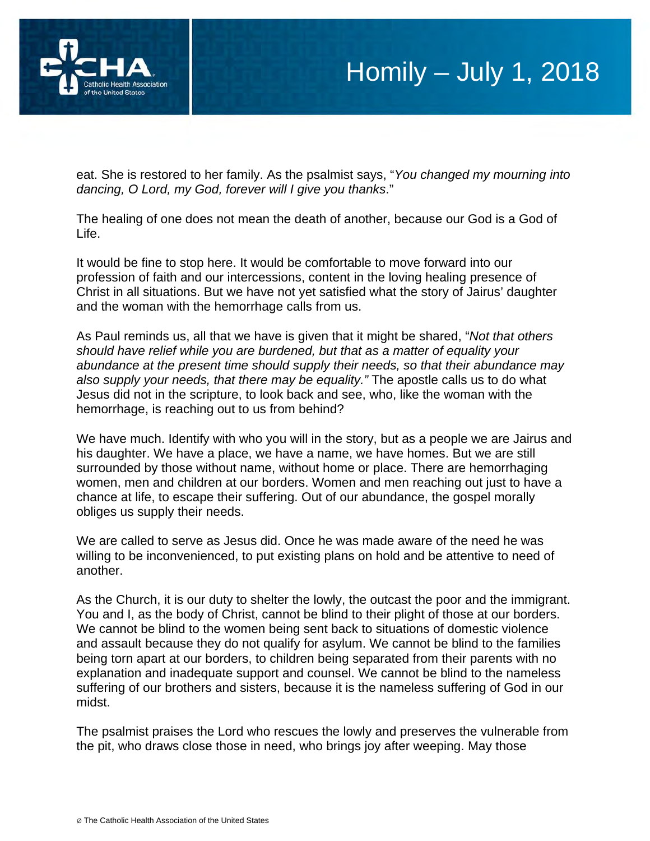

eat. She is restored to her family. As the psalmist says, "*You changed my mourning into dancing, O Lord, my God, forever will I give you thanks*."

The healing of one does not mean the death of another, because our God is a God of Life.

It would be fine to stop here. It would be comfortable to move forward into our profession of faith and our intercessions, content in the loving healing presence of Christ in all situations. But we have not yet satisfied what the story of Jairus' daughter and the woman with the hemorrhage calls from us.

As Paul reminds us, all that we have is given that it might be shared, "*Not that others should have relief while you are burdened, but that as a matter of equality your abundance at the present time should supply their needs, so that their abundance may also supply your needs, that there may be equality."* The apostle calls us to do what Jesus did not in the scripture, to look back and see, who, like the woman with the hemorrhage, is reaching out to us from behind?

We have much. Identify with who you will in the story, but as a people we are Jairus and his daughter. We have a place, we have a name, we have homes. But we are still surrounded by those without name, without home or place. There are hemorrhaging women, men and children at our borders. Women and men reaching out just to have a chance at life, to escape their suffering. Out of our abundance, the gospel morally obliges us supply their needs.

We are called to serve as Jesus did. Once he was made aware of the need he was willing to be inconvenienced, to put existing plans on hold and be attentive to need of another.

As the Church, it is our duty to shelter the lowly, the outcast the poor and the immigrant. You and I, as the body of Christ, cannot be blind to their plight of those at our borders. We cannot be blind to the women being sent back to situations of domestic violence and assault because they do not qualify for asylum. We cannot be blind to the families being torn apart at our borders, to children being separated from their parents with no explanation and inadequate support and counsel. We cannot be blind to the nameless suffering of our brothers and sisters, because it is the nameless suffering of God in our midst.

The psalmist praises the Lord who rescues the lowly and preserves the vulnerable from the pit, who draws close those in need, who brings joy after weeping. May those